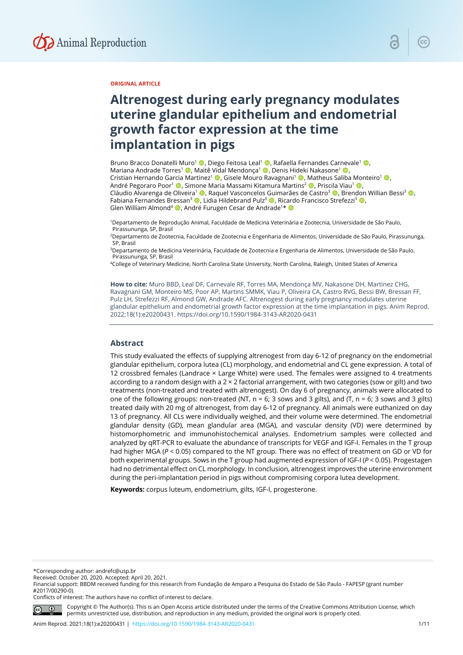

#### **ORIGINAL ARTICLE**

# **Altrenogest during early pregnancy modulates uterine glandular epithelium and endometrial growth factor expression at the time implantation in pigs**

Bruno Bracco Donatelli Muro<sup>1</sup> (D. Diego Feitosa Leal<sup>1</sup> (D. Rafaella Fernandes Carnevale<sup>1</sup> (D. Mariana Andrade Torres<sup>1</sup> **D**. Maitê Vidal Mendonca<sup>1</sup> D. Denis Hideki Nakasone<sup>1</sup> D. Cristian Hernando Garcia Martinez<sup>1</sup> (D, Gisele Mouro Ravagnani<sup>1</sup> ©, Matheus Saliba Monteiro<sup>1</sup> ©, André Pegoraro Poor<sup>1</sup> (**b**, Simone Maria Massami Kitamura Martins<sup>2</sup> (**b**, Priscila Viau<sup>1</sup> (**b**) Cláudio Alvarenga de Oliveira<sup>1</sup> , Raquel Vasconcelos Guimarães de Castro<sup>3</sup> , Brendon Willian Bessi<sup>3</sup> , D Fabiana Fernandes Bressan<sup>3</sup> (D, Lidia Hildebrand Pulz<sup>3</sup> (D, Ricardo Francisco Strefezzi<sup>3</sup> (D, Glen William Almond<sup>4</sup> (D, André Furugen Cesar de Andrade<sup>1\*</sup> (D

1Departamento de Reprodução Animal, Faculdade de Medicina Veterinária e Zootecnia, Universidade de São Paulo, Pirassununga, SP, Brasil

2Departamento de Zootecnia, Faculdade de Zootecnia e Engenharia de Alimentos, Universidade de São Paulo, Pirassununga, SP, Brasil

3Departamento de Medicina Veterinária, Faculdade de Zootecnia e Engenharia de Alimentos, Universidade de São Paulo, Pirassununga, SP, Brasil

4College of Veterinary Medicine, North Carolina State University, North Carolina, Raleigh, United States of America

**How to cite:** Muro BBD, Leal DF, Carnevale RF, Torres MA, Mendonça MV, Nakasone DH, Martinez CHG, Ravagnani GM, Monteiro MS, Poor AP, Martins SMMK, Viau P, Oliveira CA, Castro RVG, Bessi BW, Bressan FF, Pulz LH, Strefezzi RF, Almond GW, Andrade AFC. Altrenogest during early pregnancy modulates uterine glandular epithelium and endometrial growth factor expression at the time implantation in pigs. Anim Reprod. 2022;18(1):e20200431. https://doi.org/10.1590/1984-3143-AR2020-0431

## **Abstract**

This study evaluated the effects of supplying altrenogest from day 6-12 of pregnancy on the endometrial glandular epithelium, corpora lutea (CL) morphology, and endometrial and CL gene expression. A total of 12 crossbred females (Landrace × Large White) were used. The females were assigned to 4 treatments according to a random design with a 2 × 2 factorial arrangement, with two categories (sow or gilt) and two treatments (non-treated and treated with altrenogest). On day 6 of pregnancy, animals were allocated to one of the following groups: non-treated (NT,  $n = 6$ ; 3 sows and 3 gilts), and (T,  $n = 6$ ; 3 sows and 3 gilts) treated daily with 20 mg of altrenogest, from day 6-12 of pregnancy. All animals were euthanized on day 13 of pregnancy. All CLs were individually weighed, and their volume were determined. The endometrial glandular density (GD), mean glandular area (MGA), and vascular density (VD) were determined by histomorphometric and immunohistochemical analyses. Endometrium samples were collected and analyzed by qRT-PCR to evaluate the abundance of transcripts for VEGF and IGF-I. Females in the T group had higher MGA (*P* < 0.05) compared to the NT group. There was no effect of treatment on GD or VD for both experimental groups. Sows in the T group had augmented expression of IGF-I (*P* < 0.05). Progestagen had no detrimental effect on CL morphology. In conclusion, altrenogest improves the uterine environment during the peri-implantation period in pigs without compromising corpora lutea development.

**Keywords:** corpus luteum, endometrium, gilts, IGF-I, progesterone.

\*Corresponding author: andrefc@usp.br

Received: October 20, 2020. Accepted: April 20, 2021.

Financial support: BBDM received funding for this research from Fundação de Amparo a Pesquisa do Estado de São Paulo - FAPESP (grant number #2017/00290-0).

Conflicts of interest: The authors have no conflict of interest to declare.



Copyright © The Author(s). This is an Open Access article distributed under the terms of the Creative Commons Attribution License, which permits unrestricted use, distribution, and reproduction in any medium, provided the original work is properly cited.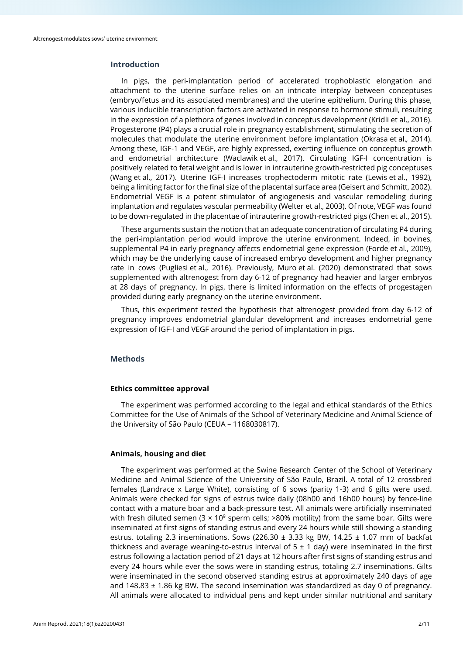## **Introduction**

In pigs, the peri-implantation period of accelerated trophoblastic elongation and attachment to the uterine surface relies on an intricate interplay between conceptuses (embryo/fetus and its associated membranes) and the uterine epithelium. During this phase, various inducible transcription factors are activated in response to hormone stimuli, resulting in the expression of a plethora of genes involved in conceptus development (Kridli et al., 2016). Progesterone (P4) plays a crucial role in pregnancy establishment, stimulating the secretion of molecules that modulate the uterine environment before implantation (Okrasa et al.*,* 2014). Among these, IGF-1 and VEGF, are highly expressed, exerting influence on conceptus growth and endometrial architecture (Waclawik et al., 2017). Circulating IGF-I concentration is positively related to fetal weight and is lower in intrauterine growth-restricted pig conceptuses (Wang et al., 2017). Uterine IGF-I increases trophectoderm mitotic rate (Lewis et al., 1992), being a limiting factor for the final size of the placental surface area (Geisert and Schmitt, 2002). Endometrial VEGF is a potent stimulator of angiogenesis and vascular remodeling during implantation and regulates vascular permeability (Welter et al., 2003). Of note, VEGF was found to be down-regulated in the placentae of intrauterine growth-restricted pigs (Chen et al., 2015).

These arguments sustain the notion that an adequate concentration of circulating P4 during the peri-implantation period would improve the uterine environment. Indeed, in bovines, supplemental P4 in early pregnancy affects endometrial gene expression (Forde et al., 2009), which may be the underlying cause of increased embryo development and higher pregnancy rate in cows (Pugliesi et al., 2016). Previously, Muro et al. (2020) demonstrated that sows supplemented with altrenogest from day 6-12 of pregnancy had heavier and larger embryos at 28 days of pregnancy. In pigs, there is limited information on the effects of progestagen provided during early pregnancy on the uterine environment.

Thus, this experiment tested the hypothesis that altrenogest provided from day 6-12 of pregnancy improves endometrial glandular development and increases endometrial gene expression of IGF-I and VEGF around the period of implantation in pigs.

## **Methods**

#### **Ethics committee approval**

The experiment was performed according to the legal and ethical standards of the Ethics Committee for the Use of Animals of the School of Veterinary Medicine and Animal Science of the University of São Paulo (CEUA – 1168030817).

## **Animals, housing and diet**

The experiment was performed at the Swine Research Center of the School of Veterinary Medicine and Animal Science of the University of São Paulo, Brazil. A total of 12 crossbred females (Landrace x Large White), consisting of 6 sows (parity 1-3) and 6 gilts were used. Animals were checked for signs of estrus twice daily (08h00 and 16h00 hours) by fence-line contact with a mature boar and a back-pressure test. All animals were artificially inseminated with fresh diluted semen ( $3 \times 10^9$  sperm cells; >80% motility) from the same boar. Gilts were inseminated at first signs of standing estrus and every 24 hours while still showing a standing estrus, totaling 2.3 inseminations. Sows (226.30  $\pm$  3.33 kg BW, 14.25  $\pm$  1.07 mm of backfat thickness and average weaning-to-estrus interval of  $5 \pm 1$  day) were inseminated in the first estrus following a lactation period of 21 days at 12 hours after first signs of standing estrus and every 24 hours while ever the sows were in standing estrus, totaling 2.7 inseminations. Gilts were inseminated in the second observed standing estrus at approximately 240 days of age and  $148.83 \pm 1.86$  kg BW. The second insemination was standardized as day 0 of pregnancy. All animals were allocated to individual pens and kept under similar nutritional and sanitary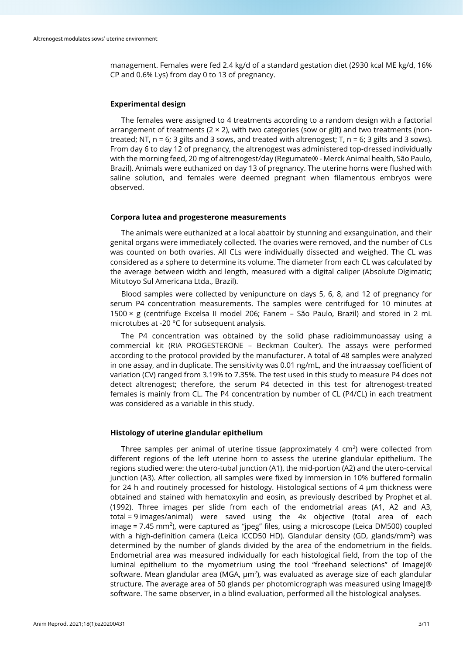management. Females were fed 2.4 kg/d of a standard gestation diet (2930 kcal ME kg/d, 16% CP and 0.6% Lys) from day 0 to 13 of pregnancy.

#### **Experimental design**

The females were assigned to 4 treatments according to a random design with a factorial arrangement of treatments ( $2 \times 2$ ), with two categories (sow or gilt) and two treatments (nontreated; NT,  $n = 6$ ; 3 gilts and 3 sows, and treated with altrenogest; T,  $n = 6$ ; 3 gilts and 3 sows). From day 6 to day 12 of pregnancy, the altrenogest was administered top-dressed individually with the morning feed, 20 mg of altrenogest/day (Regumate® - Merck Animal health, São Paulo, Brazil). Animals were euthanized on day 13 of pregnancy. The uterine horns were flushed with saline solution, and females were deemed pregnant when filamentous embryos were observed.

#### **Corpora lutea and progesterone measurements**

The animals were euthanized at a local abattoir by stunning and exsanguination, and their genital organs were immediately collected. The ovaries were removed, and the number of CLs was counted on both ovaries. All CLs were individually dissected and weighed. The CL was considered as a sphere to determine its volume. The diameter from each CL was calculated by the average between width and length, measured with a digital caliper (Absolute Digimatic; Mitutoyo Sul Americana Ltda., Brazil).

Blood samples were collected by venipuncture on days 5, 6, 8, and 12 of pregnancy for serum P4 concentration measurements. The samples were centrifuged for 10 minutes at 1500 × g (centrifuge Excelsa II model 206; Fanem – São Paulo, Brazil) and stored in 2 mL microtubes at -20 °C for subsequent analysis.

The P4 concentration was obtained by the solid phase radioimmunoassay using a commercial kit (RIA PROGESTERONE – Beckman Coulter). The assays were performed according to the protocol provided by the manufacturer. A total of 48 samples were analyzed in one assay, and in duplicate. The sensitivity was 0.01 ng/mL, and the intraassay coefficient of variation (CV) ranged from 3.19% to 7.35%. The test used in this study to measure P4 does not detect altrenogest; therefore, the serum P4 detected in this test for altrenogest-treated females is mainly from CL. The P4 concentration by number of CL (P4/CL) in each treatment was considered as a variable in this study.

## **Histology of uterine glandular epithelium**

Three samples per animal of uterine tissue (approximately 4 cm<sup>2</sup>) were collected from different regions of the left uterine horn to assess the uterine glandular epithelium. The regions studied were: the utero-tubal junction (A1), the mid-portion (A2) and the utero-cervical junction (A3). After collection, all samples were fixed by immersion in 10% buffered formalin for 24 h and routinely processed for histology. Histological sections of 4  $\mu$ m thickness were obtained and stained with hematoxylin and eosin, as previously described by Prophet et al. (1992). Three images per slide from each of the endometrial areas (A1, A2 and A3, total = 9 images/animal) were saved using the 4x objective (total area of each image  $= 7.45$  mm<sup>2</sup>), were captured as "jpeg" files, using a microscope (Leica DM500) coupled with a high-definition camera (Leica ICCD50 HD). Glandular density (GD, glands/mm<sup>2</sup>) was determined by the number of glands divided by the area of the endometrium in the fields. Endometrial area was measured individually for each histological field, from the top of the luminal epithelium to the myometrium using the tool "freehand selections" of ImageJ® software. Mean glandular area (MGA, µm<sup>2</sup>), was evaluated as average size of each glandular structure. The average area of 50 glands per photomicrograph was measured using ImageJ® software. The same observer, in a blind evaluation, performed all the histological analyses.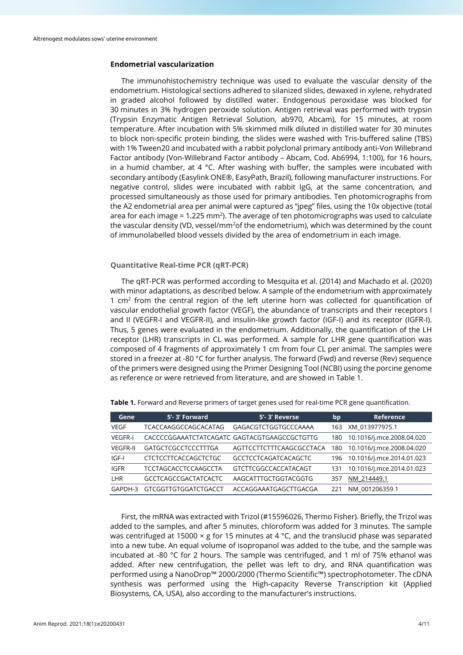## **Endometrial vascularization**

The immunohistochemistry technique was used to evaluate the vascular density of the endometrium. Histological sections adhered to silanized slides, dewaxed in xylene, rehydrated in graded alcohol followed by distilled water. Endogenous peroxidase was blocked for 30 minutes in 3% hydrogen peroxide solution. Antigen retrieval was performed with trypsin (Trypsin Enzymatic Antigen Retrieval Solution, ab970, Abcam), for 15 minutes, at room temperature. After incubation with 5% skimmed milk diluted in distilled water for 30 minutes to block non-specific protein binding, the slides were washed with Tris-buffered saline (TBS) with 1% Tween20 and incubated with a rabbit polyclonal primary antibody anti-Von Willebrand Factor antibody (Von-Willebrand Factor antibody – Abcam, Cod. Ab6994, 1:100), for 16 hours, in a humid chamber, at 4  $\degree$ C. After washing with buffer, the samples were incubated with secondary antibody (Easylink ONE®, EasyPath, Brazil), following manufacturer instructions. For negative control, slides were incubated with rabbit IgG, at the same concentration, and processed simultaneously as those used for primary antibodies. Ten photomicrographs from the A2 endometrial area per animal were captured as "jpeg" files, using the 10x objective (total area for each image =  $1.225$  mm<sup>2</sup>). The average of ten photomicrographs was used to calculate the vascular density (VD, vessel/mm<sup>2</sup>of the endometrium), which was determined by the count of immunolabelled blood vessels divided by the area of endometrium in each image.

#### **Quantitative Real-time PCR (qRT-PCR)**

The qRT-PCR was performed according to Mesquita et al. (2014) and Machado et al. (2020) with minor adaptations, as described below. A sample of the endometrium with approximately 1  $cm<sup>2</sup>$  from the central region of the left uterine horn was collected for quantification of vascular endothelial growth factor (VEGF), the abundance of transcripts and their receptors I and II (VEGFR-I and VEGFR-II), and insulin-like growth factor (IGF-I) and its receptor (IGFR-I). Thus, 5 genes were evaluated in the endometrium. Additionally, the quantification of the LH receptor (LHR) transcripts in CL was performed. A sample for LHR gene quantification was composed of 4 fragments of approximately 1 cm from four CL per animal. The samples were stored in a freezer at -80 °C for further analysis. The forward (Fwd) and reverse (Rev) sequence of the primers were designed using the Primer Designing Tool (NCBI) using the porcine genome as reference or were retrieved from literature, and are showed in Table 1.

| Gene            | 5'-3' Forward                                | 5'-3' Reverse               | bp  | Reference                 |
|-----------------|----------------------------------------------|-----------------------------|-----|---------------------------|
| <b>VEGF</b>     | TCACCAAGGCCAGCACATAG                         | GAGACGTCTGGTGCCCAAAA        | 163 | XM 013977975.1            |
| <b>VEGFR-I</b>  | CACCCCGGAAATCTATCAGATC GAGTACGTGAAGCCGCTGTTG |                             | 180 | 10.1016/j.mce.2008.04.020 |
| <b>VEGFR-II</b> | <b>GATGCTCGCCTCCCTTTGA</b>                   | AGTTCCTTCTTTCAAGCGCCTACA    | 180 | 10.1016/j.mce.2008.04.020 |
| $IGF-I$         | <b>CTCTCCTTCACCAGCTCTGC</b>                  | <b>GCCTCCTCAGATCACAGCTC</b> | 196 | 10.1016/j.mce.2014.01.023 |
| IGFR            | TCCTAGCACCTCCAAGCCTA                         | GTCTTCGGCCACCATACAGT        | 131 | 10.1016/j.mce.2014.01.023 |
| LHR             | <b>GCCTCAGCCGACTATCACTC</b>                  | AAGCATTTGCTGGTACGGTG        | 357 | NM 214449.1               |
| GAPDH-3         | <b>GTCGGTTGTGGATCTGACCT</b>                  | ACCAGGAAATGAGCTTGACGA       | 221 | NM 001206359.1            |

**Table 1.** Forward and Reverse primers of target genes used for real-time PCR gene quantification.

First, the mRNA was extracted with Trizol (#15596026, Thermo Fisher). Briefly, the Trizol was added to the samples, and after 5 minutes, chloroform was added for 3 minutes. The sample was centrifuged at 15000  $\times$  g for 15 minutes at 4 °C, and the translucid phase was separated into a new tube. An equal volume of isopropanol was added to the tube, and the sample was incubated at -80 °C for 2 hours. The sample was centrifuged, and 1 ml of 75% ethanol was added. After new centrifugation, the pellet was left to dry, and RNA quantification was performed using a NanoDrop™ 2000/2000 (Thermo Scientific™) spectrophotometer. The cDNA synthesis was performed using the High-capacity Reverse Transcription kit (Applied Biosystems, CA, USA), also according to the manufacturer's instructions.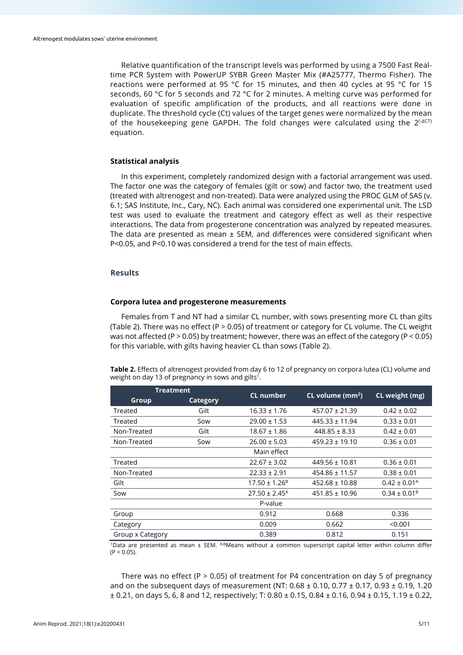Relative quantification of the transcript levels was performed by using a 7500 Fast Realtime PCR System with PowerUP SYBR Green Master Mix (#A25777, Thermo Fisher). The reactions were performed at 95 °C for 15 minutes, and then 40 cycles at 95 °C for 15 seconds, 60 °C for 5 seconds and 72 °C for 2 minutes. A melting curve was performed for evaluation of specific amplification of the products, and all reactions were done in duplicate. The threshold cycle (Ct) values of the target genes were normalized by the mean of the housekeeping gene GAPDH. The fold changes were calculated using the 2<sup>(-ΔCT)</sup> equation.

#### **Statistical analysis**

In this experiment, completely randomized design with a factorial arrangement was used. The factor one was the category of females (gilt or sow) and factor two, the treatment used (treated with altrenogest and non-treated). Data were analyzed using the PROC GLM of SAS (v. 6.1; SAS Institute, Inc., Cary, NC). Each animal was considered one experimental unit. The LSD test was used to evaluate the treatment and category effect as well as their respective interactions. The data from progesterone concentration was analyzed by repeated measures. The data are presented as mean  $\pm$  SEM, and differences were considered significant when P<0.05, and P<0.10 was considered a trend for the test of main effects.

## **Results**

## **Corpora lutea and progesterone measurements**

Females from T and NT had a similar CL number, with sows presenting more CL than gilts (Table 2). There was no effect (P > 0.05) of treatment or category for CL volume. The CL weight was not affected (P > 0.05) by treatment; however, there was an effect of the category (P < 0.05) for this variable, with gilts having heavier CL than sows (Table 2).

**Table 2.** Effects of altrenogest provided from day 6 to 12 of pregnancy on corpora lutea (CL) volume and weight on day 13 of pregnancy in sows and gilts<sup>1</sup>.

| Treatment        |                 | <b>CL</b> number              | CL volume (mm <sup>2</sup> ) |                            |
|------------------|-----------------|-------------------------------|------------------------------|----------------------------|
| Group            | <b>Category</b> |                               |                              | CL weight (mg)             |
| Treated          | Gilt            | $16.33 \pm 1.76$              | $457.07 \pm 21.39$           | $0.42 \pm 0.02$            |
| Treated          | Sow             | $29.00 \pm 1.53$              | $445.33 \pm 11.94$           | $0.33 \pm 0.01$            |
| Non-Treated      | Gilt            | $18.67 \pm 1.86$              | $448.85 \pm 8.33$            | $0.42 \pm 0.01$            |
| Non-Treated      | Sow             | $26.00 \pm 5.03$              | $459.23 \pm 19.10$           | $0.36 \pm 0.01$            |
|                  |                 | Main effect                   |                              |                            |
| Treated          |                 | $22.67 \pm 3.02$              | $449.56 \pm 10.81$           | $0.36 \pm 0.01$            |
| Non-Treated      |                 | $22.33 \pm 2.91$              | $454.86 \pm 11.57$           | $0.38 \pm 0.01$            |
| Gilt             |                 | $17.50 \pm 1.26^B$            | $452.68 \pm 10.88$           | $0.42 \pm 0.01^{\text{A}}$ |
| Sow              |                 | $27.50 \pm 2.45$ <sup>A</sup> | $451.85 \pm 10.96$           | $0.34 \pm 0.01^{\text{B}}$ |
|                  |                 | P-value                       |                              |                            |
| Group            |                 | 0.912                         | 0.668                        | 0.336                      |
| Category         |                 | 0.009                         | 0.662                        | < 0.001                    |
| Group x Category |                 | 0.389                         | 0.812                        | 0.151                      |

1Data are presented as mean ± SEM. ABMeans without a common superscript capital letter within column differ  $(P < 0.05)$ .

There was no effect (P  $> 0.05$ ) of treatment for P4 concentration on day 5 of pregnancy and on the subsequent days of measurement (NT:  $0.68 \pm 0.10$ ,  $0.77 \pm 0.17$ ,  $0.93 \pm 0.19$ , 1.20 ± 0.21, on days 5, 6, 8 and 12, respectively; T: 0.80 ± 0.15, 0.84 ± 0.16, 0.94 ± 0.15, 1.19 ± 0.22,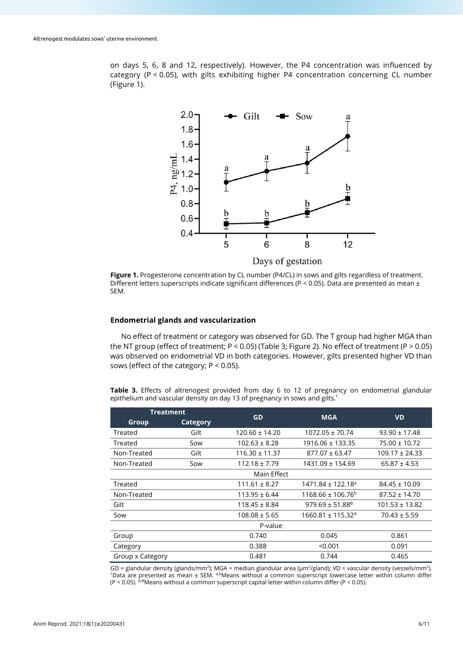on days 5, 6, 8 and 12, respectively). However, the P4 concentration was influenced by category (P < 0.05), with gilts exhibiting higher P4 concentration concerning CL number (Figure 1).



**Figure 1.** Progesterone concentration by CL number (P4/CL) in sows and gilts regardless of treatment. Different letters superscripts indicate significant differences (P < 0.05). Data are presented as mean  $\pm$ SEM.

## **Endometrial glands and vascularization**

No effect of treatment or category was observed for GD. The T group had higher MGA than the NT group (effect of treatment;  $P < 0.05$ ) (Table 3; Figure 2). No effect of treatment (P  $> 0.05$ ) was observed on endometrial VD in both categories. However, gilts presented higher VD than sows (effect of the category; P < 0.05).

**Table 3.** Effects of altrenogest provided from day 6 to 12 of pregnancy on endometrial glandular epithelium and vascular density on day 13 of pregnancy in sows and gilts.<sup>1</sup>

| <b>Treatment</b> |          |                    | <b>MGA</b>                        |                    |  |  |  |
|------------------|----------|--------------------|-----------------------------------|--------------------|--|--|--|
| Group            | Category | GD                 |                                   | <b>VD</b>          |  |  |  |
| Treated          | Gilt     | $120.60 \pm 14.20$ | $1072.05 \pm 70.74$               | $93.90 \pm 17.48$  |  |  |  |
| Treated          | Sow      | $102.63 \pm 8.28$  | $1916.06 \pm 133.35$              | $75.00 \pm 10.72$  |  |  |  |
| Non-Treated      | Gilt     | $116.30 \pm 11.37$ | $877.07 \pm 63.47$                | $109.17 \pm 24.33$ |  |  |  |
| Non-Treated      | Sow      | $112.18 \pm 7.79$  | 1431.09 ± 154.69                  | $65.87 \pm 4.53$   |  |  |  |
| Main Effect      |          |                    |                                   |                    |  |  |  |
| Treated          |          | $111.61 \pm 8.27$  | $1471.84 \pm 122.18$ <sup>a</sup> | $84.45 \pm 10.09$  |  |  |  |
| Non-Treated      |          | $113.95 \pm 6.44$  | $1168.66 \pm 106.76^b$            | $87.52 \pm 14.70$  |  |  |  |
| Gilt             |          | $118.45 \pm 8.84$  | $979.69 \pm 51.88^B$              | $101.53 \pm 13.82$ |  |  |  |
| Sow              |          | $108.08 \pm 5.65$  | $1660.81 \pm 115.32$ <sup>A</sup> | $70.43 \pm 5.59$   |  |  |  |
| P-value          |          |                    |                                   |                    |  |  |  |
| Group            |          | 0.740              | 0.045                             | 0.861              |  |  |  |
| Category         |          | 0.388              | < 0.001                           | 0.091              |  |  |  |
| Group x Category |          | 0.481              | 0.744                             | 0.465              |  |  |  |

GD = glandular density (glands/mm<sup>2</sup>); MGA = median glandular area ( $\mu$ m<sup>2</sup>/gland); VD = vascular density (vessels/mm<sup>2</sup>).<br><sup>1</sup>Data are presented as mean ± SEM. <sup>a,b</sup>Means without a common superscript lowercase letter wit (P < 0.05). A,BMeans without a common superscript capital letter within column differ (P < 0.05).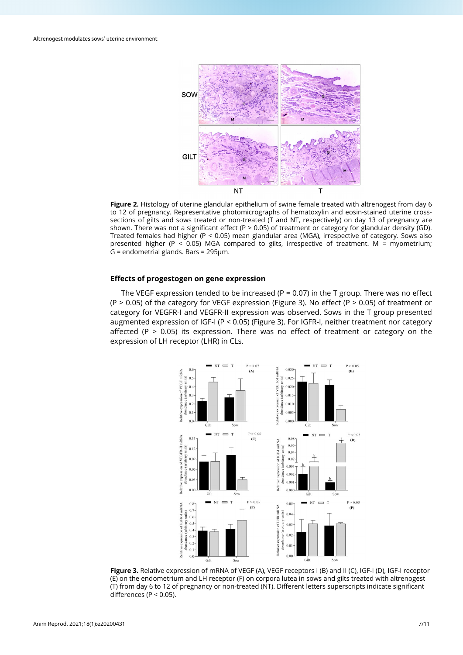

**Figure 2.** Histology of uterine glandular epithelium of swine female treated with altrenogest from day 6 to 12 of pregnancy. Representative photomicrographs of hematoxylin and eosin-stained uterine crosssections of gilts and sows treated or non-treated (T and NT, respectively) on day 13 of pregnancy are shown. There was not a significant effect (P > 0.05) of treatment or category for glandular density (GD). Treated females had higher (P < 0.05) mean glandular area (MGA), irrespective of category. Sows also presented higher (P < 0.05) MGA compared to gilts, irrespective of treatment. M = myometrium; G = endometrial glands. Bars = 295µm.

## **Effects of progestogen on gene expression**

The VEGF expression tended to be increased ( $P = 0.07$ ) in the T group. There was no effect  $(P > 0.05)$  of the category for VEGF expression (Figure 3). No effect (P  $> 0.05$ ) of treatment or category for VEGFR-I and VEGFR-II expression was observed. Sows in the T group presented augmented expression of IGF-I (P < 0.05) (Figure 3). For IGFR-I, neither treatment nor category affected (P  $>$  0.05) its expression. There was no effect of treatment or category on the expression of LH receptor (LHR) in CLs.



**Figure 3.** Relative expression of mRNA of VEGF (A), VEGF receptors I (B) and II (C), IGF-I (D), IGF-I receptor (E) on the endometrium and LH receptor (F) on corpora lutea in sows and gilts treated with altrenogest (T) from day 6 to 12 of pregnancy or non-treated (NT). Different letters superscripts indicate significant differences (P < 0.05).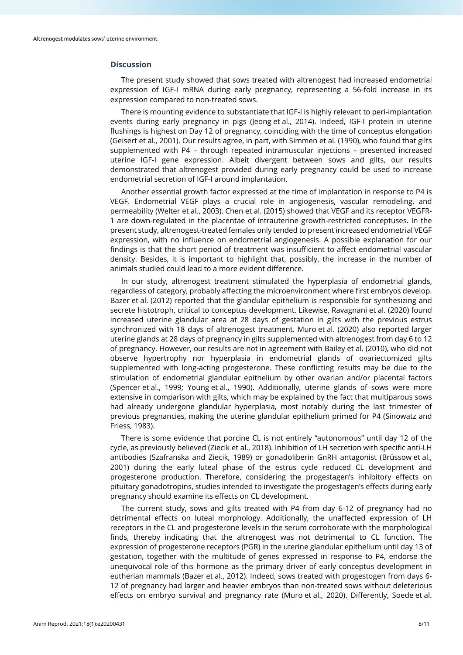## **Discussion**

The present study showed that sows treated with altrenogest had increased endometrial expression of IGF-I mRNA during early pregnancy, representing a 56-fold increase in its expression compared to non-treated sows.

There is mounting evidence to substantiate that IGF-I is highly relevant to peri-implantation events during early pregnancy in pigs (Jeong et al., 2014). Indeed, IGF-I protein in uterine flushings is highest on Day 12 of pregnancy, coinciding with the time of conceptus elongation (Geisert et al., 2001). Our results agree, in part, with Simmen et al. (1990), who found that gilts supplemented with P4 – through repeated intramuscular injections – presented increased uterine IGF-I gene expression. Albeit divergent between sows and gilts, our results demonstrated that altrenogest provided during early pregnancy could be used to increase endometrial secretion of IGF-I around implantation.

Another essential growth factor expressed at the time of implantation in response to P4 is VEGF. Endometrial VEGF plays a crucial role in angiogenesis, vascular remodeling, and permeability (Welter et al., 2003). Chen et al. (2015) showed that VEGF and its receptor VEGFR-1 are down-regulated in the placentae of intrauterine growth-restricted conceptuses. In the present study, altrenogest-treated females only tended to present increased endometrial VEGF expression, with no influence on endometrial angiogenesis. A possible explanation for our findings is that the short period of treatment was insufficient to affect endometrial vascular density. Besides, it is important to highlight that, possibly, the increase in the number of animals studied could lead to a more evident difference.

In our study, altrenogest treatment stimulated the hyperplasia of endometrial glands, regardless of category, probably affecting the microenvironment where first embryos develop. Bazer et al. (2012) reported that the glandular epithelium is responsible for synthesizing and secrete histotroph, critical to conceptus development. Likewise, Ravagnani et al. (2020) found increased uterine glandular area at 28 days of gestation in gilts with the previous estrus synchronized with 18 days of altrenogest treatment. Muro et al. (2020) also reported larger uterine glands at 28 days of pregnancy in gilts supplemented with altrenogest from day 6 to 12 of pregnancy. However, our results are not in agreement with Bailey et al. (2010), who did not observe hypertrophy nor hyperplasia in endometrial glands of ovariectomized gilts supplemented with long-acting progesterone. These conflicting results may be due to the stimulation of endometrial glandular epithelium by other ovarian and/or placental factors (Spencer et al., 1999; Young et al., 1990). Additionally, uterine glands of sows were more extensive in comparison with gilts, which may be explained by the fact that multiparous sows had already undergone glandular hyperplasia, most notably during the last trimester of previous pregnancies, making the uterine glandular epithelium primed for P4 (Sinowatz and Friess, 1983).

There is some evidence that porcine CL is not entirely "autonomous" until day 12 of the cycle, as previously believed (Ziecik et al., 2018). Inhibition of LH secretion with specific anti-LH antibodies (Szafranska and Ziecik, 1989) or gonadoliberin GnRH antagonist (Brüssow et al., 2001) during the early luteal phase of the estrus cycle reduced CL development and progesterone production. Therefore, considering the progestagen's inhibitory effects on pituitary gonadotropins, studies intended to investigate the progestagen's effects during early pregnancy should examine its effects on CL development.

The current study, sows and gilts treated with P4 from day 6-12 of pregnancy had no detrimental effects on luteal morphology. Additionally, the unaffected expression of LH receptors in the CL and progesterone levels in the serum corroborate with the morphological finds, thereby indicating that the altrenogest was not detrimental to CL function. The expression of progesterone receptors (PGR) in the uterine glandular epithelium until day 13 of gestation, together with the multitude of genes expressed in response to P4, endorse the unequivocal role of this hormone as the primary driver of early conceptus development in eutherian mammals (Bazer et al., 2012). Indeed, sows treated with progestogen from days 6- 12 of pregnancy had larger and heavier embryos than non-treated sows without deleterious effects on embryo survival and pregnancy rate (Muro et al., 2020). Differently, Soede et al.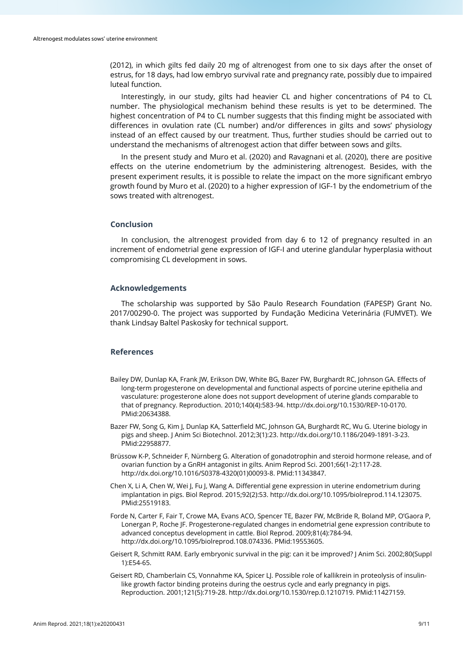(2012), in which gilts fed daily 20 mg of altrenogest from one to six days after the onset of estrus, for 18 days, had low embryo survival rate and pregnancy rate, possibly due to impaired luteal function.

Interestingly, in our study, gilts had heavier CL and higher concentrations of P4 to CL number. The physiological mechanism behind these results is yet to be determined. The highest concentration of P4 to CL number suggests that this finding might be associated with differences in ovulation rate (CL number) and/or differences in gilts and sows' physiology instead of an effect caused by our treatment. Thus, further studies should be carried out to understand the mechanisms of altrenogest action that differ between sows and gilts.

In the present study and Muro et al. (2020) and Ravagnani et al. (2020), there are positive effects on the uterine endometrium by the administering altrenogest. Besides, with the present experiment results, it is possible to relate the impact on the more significant embryo growth found by Muro et al. (2020) to a higher expression of IGF-1 by the endometrium of the sows treated with altrenogest.

## **Conclusion**

In conclusion, the altrenogest provided from day 6 to 12 of pregnancy resulted in an increment of endometrial gene expression of IGF-I and uterine glandular hyperplasia without compromising CL development in sows.

## **Acknowledgements**

The scholarship was supported by São Paulo Research Foundation (FAPESP) Grant No. 2017/00290-0. The project was supported by Fundação Medicina Veterinária (FUMVET). We thank Lindsay Baltel Paskosky for technical support.

## **References**

- Bailey DW, Dunlap KA, Frank JW, Erikson DW, White BG, Bazer FW, Burghardt RC, Johnson GA. Effects of long-term progesterone on developmental and functional aspects of porcine uterine epithelia and vasculature: progesterone alone does not support development of uterine glands comparable to that of pregnancy. Reproduction. 2010;140(4):583-94[. http://dx.doi.org/10.1530/REP-10-0170](https://doi.org/10.1530/REP-10-0170)[.](https://www.ncbi.nlm.nih.gov/entrez/query.fcgi?cmd=Retrieve&db=PubMed&list_uids=20634388&dopt=Abstract) [PMid:20634388.](https://www.ncbi.nlm.nih.gov/entrez/query.fcgi?cmd=Retrieve&db=PubMed&list_uids=20634388&dopt=Abstract)
- Bazer FW, Song G, Kim J, Dunlap KA, Satterfield MC, Johnson GA, Burghardt RC, Wu G. Uterine biology in pigs and sheep. J Anim Sci Biotechnol. 2012;3(1):23. http://dx.doi.org/10.1186/2049-1891-3-2[3.](https://www.ncbi.nlm.nih.gov/entrez/query.fcgi?cmd=Retrieve&db=PubMed&list_uids=22958877&dopt=Abstract) [PMid:22958877.](https://www.ncbi.nlm.nih.gov/entrez/query.fcgi?cmd=Retrieve&db=PubMed&list_uids=22958877&dopt=Abstract)
- Brüssow K-P, Schneider F, Nürnberg G. Alteration of gonadotrophin and steroid hormone release, and of ovarian function by a GnRH antagonist in gilts. Anim Reprod Sci. 2001;66(1-2):117-28. [http://dx.doi.org/10.1016/S0378-4320\(01\)00093-8.](https://doi.org/10.1016/S0378-4320(01)00093-8) [PMid:11343847.](https://www.ncbi.nlm.nih.gov/entrez/query.fcgi?cmd=Retrieve&db=PubMed&list_uids=11343847&dopt=Abstract)
- Chen X, Li A, Chen W, Wei J, Fu J, Wang A. Differential gene expression in uterine endometrium during implantation in pigs. Biol Reprod. 2015;92(2):53[. http://dx.doi.org/10.1095/biolreprod.114.123075](https://doi.org/10.1095/biolreprod.114.123075)[.](https://www.ncbi.nlm.nih.gov/entrez/query.fcgi?cmd=Retrieve&db=PubMed&list_uids=25519183&dopt=Abstract) [PMid:25519183.](https://www.ncbi.nlm.nih.gov/entrez/query.fcgi?cmd=Retrieve&db=PubMed&list_uids=25519183&dopt=Abstract)
- Forde N, Carter F, Fair T, Crowe MA, Evans ACO, Spencer TE, Bazer FW, McBride R, Boland MP, O'Gaora P, Lonergan P, Roche JF. Progesterone-regulated changes in endometrial gene expression contribute to advanced conceptus development in cattle. Biol Reprod. 2009;81(4):784-94. [http://dx.doi.org/10.1095/biolreprod.108.074336.](https://doi.org/10.1095/biolreprod.108.074336) [PMid:19553605.](https://www.ncbi.nlm.nih.gov/entrez/query.fcgi?cmd=Retrieve&db=PubMed&list_uids=19553605&dopt=Abstract)
- Geisert R, Schmitt RAM. Early embryonic survival in the pig: can it be improved? J Anim Sci. 2002;80(Suppl 1):E54-65.
- Geisert RD, Chamberlain CS, Vonnahme KA, Spicer LJ. Possible role of kallikrein in proteolysis of insulinlike growth factor binding proteins during the oestrus cycle and early pregnancy in pigs. Reproduction. 2001;121(5):719-28[. http://dx.doi.org/10.1530/rep.0.1210719.](https://doi.org/10.1530/rep.0.1210719) [PMid:11427159.](https://www.ncbi.nlm.nih.gov/entrez/query.fcgi?cmd=Retrieve&db=PubMed&list_uids=11427159&dopt=Abstract)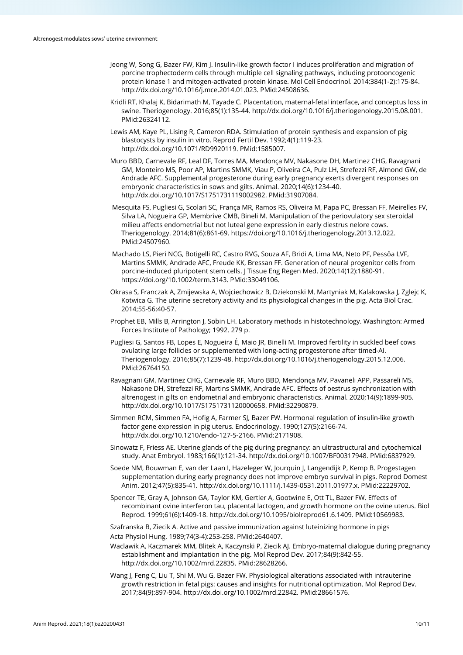- Jeong W, Song G, Bazer FW, Kim J. Insulin-like growth factor I induces proliferation and migration of porcine trophectoderm cells through multiple cell signaling pathways, including protooncogenic protein kinase 1 and mitogen-activated protein kinase. Mol Cell Endocrinol. 2014;384(1-2):175-84. [http://dx.doi.org/10.1016/j.mce.2014.01.023.](https://doi.org/10.1016/j.mce.2014.01.023) [PMid:24508636.](https://www.ncbi.nlm.nih.gov/entrez/query.fcgi?cmd=Retrieve&db=PubMed&list_uids=24508636&dopt=Abstract)
- Kridli RT, Khalaj K, Bidarimath M, Tayade C. Placentation, maternal-fetal interface, and conceptus loss in swine. Theriogenology. 2016;85(1):135-44[. http://dx.doi.org/10.1016/j.theriogenology.2015.08.001.](https://doi.org/10.1016/j.theriogenology.2015.08.001) [PMid:26324112.](https://www.ncbi.nlm.nih.gov/entrez/query.fcgi?cmd=Retrieve&db=PubMed&list_uids=26324112&dopt=Abstract)
- Lewis AM, Kaye PL, Lising R, Cameron RDA. Stimulation of protein synthesis and expansion of pig blastocysts by insulin in vitro. Reprod Fertil Dev. 1992;4(1):119-23. [http://dx.doi.org/10.1071/RD9920119.](https://doi.org/10.1071/RD9920119) [PMid:1585007.](https://www.ncbi.nlm.nih.gov/entrez/query.fcgi?cmd=Retrieve&db=PubMed&list_uids=1585007&dopt=Abstract)
- Muro BBD, Carnevale RF, Leal DF, Torres MA, Mendonça MV, Nakasone DH, Martinez CHG, Ravagnani GM, Monteiro MS, Poor AP, Martins SMMK, Viau P, Oliveira CA, Pulz LH, Strefezzi RF, Almond GW, de Andrade AFC. Supplemental progesterone during early pregnancy exerts divergent responses on embryonic characteristics in sows and gilts. Animal. 2020;14(6):1234-40. [http://dx.doi.org/10.1017/S1751731119002982.](https://doi.org/10.1017/S1751731119002982) [PMid:31907084.](https://www.ncbi.nlm.nih.gov/entrez/query.fcgi?cmd=Retrieve&db=PubMed&list_uids=31907084&dopt=Abstract)
- Mesquita FS, Pugliesi G, Scolari SC, França MR, Ramos RS, Oliveira M, Papa PC, Bressan FF, Meirelles FV, Silva LA, Nogueira GP, Membrive CMB, Bineli M. Manipulation of the periovulatory sex steroidal milieu affects endometrial but not luteal gene expression in early diestrus nelore cows. Theriogenology. 2014;81(6):861-69. [https://doi.org/10.1016/j.theriogenology.2013.12.022.](https://doi.org/10.1016/j.theriogenology.2013.12.022)  PMid:24507960.
- Machado LS, Pieri NCG, Botigelli RC, Castro RVG, Souza AF, Bridi A, Lima MA, Neto PF, Pessôa LVF, Martins SMMK, Andrade AFC, Freude KK, Bressan FF. Generation of neural progenitor cells from porcine-induced pluripotent stem cells. J Tissue Eng Regen Med. 2020;14(12):1880-91. [https://doi.org/10.1002/term.3143.](https://doi.org/10.1002/term.3143) PMid:33049106.
- Okrasa S, Franczak A, Zmijewska A, Wojciechowicz B, Dziekonski M, Martyniak M, Kalakowska J, Zglejc K, Kotwica G. The uterine secretory activity and its physiological changes in the pig. Acta Biol Crac. 2014;55-56:40-57.
- Prophet EB, Mills B, Arrington J, Sobin LH. Laboratory methods in histotechnology. Washington: Armed Forces Institute of Pathology; 1992. 279 p.
- Pugliesi G, Santos FB, Lopes E, Nogueira É, Maio JR, Binelli M. Improved fertility in suckled beef cows ovulating large follicles or supplemented with long-acting progesterone after timed-AI. Theriogenology. 2016;85(7):1239-48. [http://dx.doi.org/10.1016/j.theriogenology.2015.12.006](https://doi.org/10.1016/j.theriogenology.2015.12.006)[.](https://www.ncbi.nlm.nih.gov/entrez/query.fcgi?cmd=Retrieve&db=PubMed&list_uids=26764150&dopt=Abstract) [PMid:26764150.](https://www.ncbi.nlm.nih.gov/entrez/query.fcgi?cmd=Retrieve&db=PubMed&list_uids=26764150&dopt=Abstract)
- Ravagnani GM, Martinez CHG, Carnevale RF, Muro BBD, Mendonça MV, Pavaneli APP, Passareli MS, Nakasone DH, Strefezzi RF, Martins SMMK, Andrade AFC. Effects of oestrus synchronization with altrenogest in gilts on endometrial and embryonic characteristics. Animal. 2020;14(9):1899-905. [http://dx.doi.org/10.1017/S1751731120000658.](https://doi.org/10.1017/S1751731120000658) [PMid:32290879.](https://www.ncbi.nlm.nih.gov/entrez/query.fcgi?cmd=Retrieve&db=PubMed&list_uids=32290879&dopt=Abstract)
- Simmen RCM, Simmen FA, Hofig A, Farmer SJ, Bazer FW. Hormonal regulation of insulin-like growth factor gene expression in pig uterus. Endocrinology. 1990;127(5):2166-74. [http://dx.doi.org/10.1210/endo-127-5-2166.](https://doi.org/10.1210/endo-127-5-2166) [PMid:2171908.](https://www.ncbi.nlm.nih.gov/entrez/query.fcgi?cmd=Retrieve&db=PubMed&list_uids=2171908&dopt=Abstract)
- Sinowatz F, Friess AE. Uterine glands of the pig during pregnancy: an ultrastructural and cytochemical study. Anat Embryol. 1983;166(1):121-34[. http://dx.doi.org/10.1007/BF00317948.](https://doi.org/10.1007/BF00317948) [PMid:6837929.](https://www.ncbi.nlm.nih.gov/entrez/query.fcgi?cmd=Retrieve&db=PubMed&list_uids=6837929&dopt=Abstract)
- Soede NM, Bouwman E, van der Laan I, Hazeleger W, Jourquin J, Langendijk P, Kemp B. Progestagen supplementation during early pregnancy does not improve embryo survival in pigs. Reprod Domest Anim. 2012;47(5):835-41[. http://dx.doi.org/10.1111/j.1439-0531.2011.01977.x.](https://doi.org/10.1111/j.1439-0531.2011.01977.x) [PMid:22229702.](https://www.ncbi.nlm.nih.gov/entrez/query.fcgi?cmd=Retrieve&db=PubMed&list_uids=22229702&dopt=Abstract)
- Spencer TE, Gray A, Johnson GA, Taylor KM, Gertler A, Gootwine E, Ott TL, Bazer FW. Effects of recombinant ovine interferon tau, placental lactogen, and growth hormone on the ovine uterus. Biol Reprod. 1999;61(6):1409-18[. http://dx.doi.org/10.1095/biolreprod61.6.1409.](https://doi.org/10.1095/biolreprod61.6.1409) [PMid:10569983.](https://www.ncbi.nlm.nih.gov/entrez/query.fcgi?cmd=Retrieve&db=PubMed&list_uids=10569983&dopt=Abstract)

Szafranska B, Ziecik A. Active and passive immunization against luteinizing hormone in pigs Acta Physiol Hung. 1989;74(3-4):253-258. PMid:2640407.

- Waclawik A, Kaczmarek MM, Blitek A, Kaczynski P, Ziecik AJ. Embryo-maternal dialogue during pregnancy establishment and implantation in the pig. Mol Reprod Dev. 2017;84(9):842-55. [http://dx.doi.org/10.1002/mrd.22835.](https://doi.org/10.1002/mrd.22835) [PMid:28628266.](https://www.ncbi.nlm.nih.gov/entrez/query.fcgi?cmd=Retrieve&db=PubMed&list_uids=28628266&dopt=Abstract)
- Wang J, Feng C, Liu T, Shi M, Wu G, Bazer FW. Physiological alterations associated with intrauterine growth restriction in fetal pigs: causes and insights for nutritional optimization. Mol Reprod Dev. 2017;84(9):897-904. [http://dx.doi.org/10.1002/mrd.22842.](https://doi.org/10.1002/mrd.22842) [PMid:28661576.](https://www.ncbi.nlm.nih.gov/entrez/query.fcgi?cmd=Retrieve&db=PubMed&list_uids=28661576&dopt=Abstract)